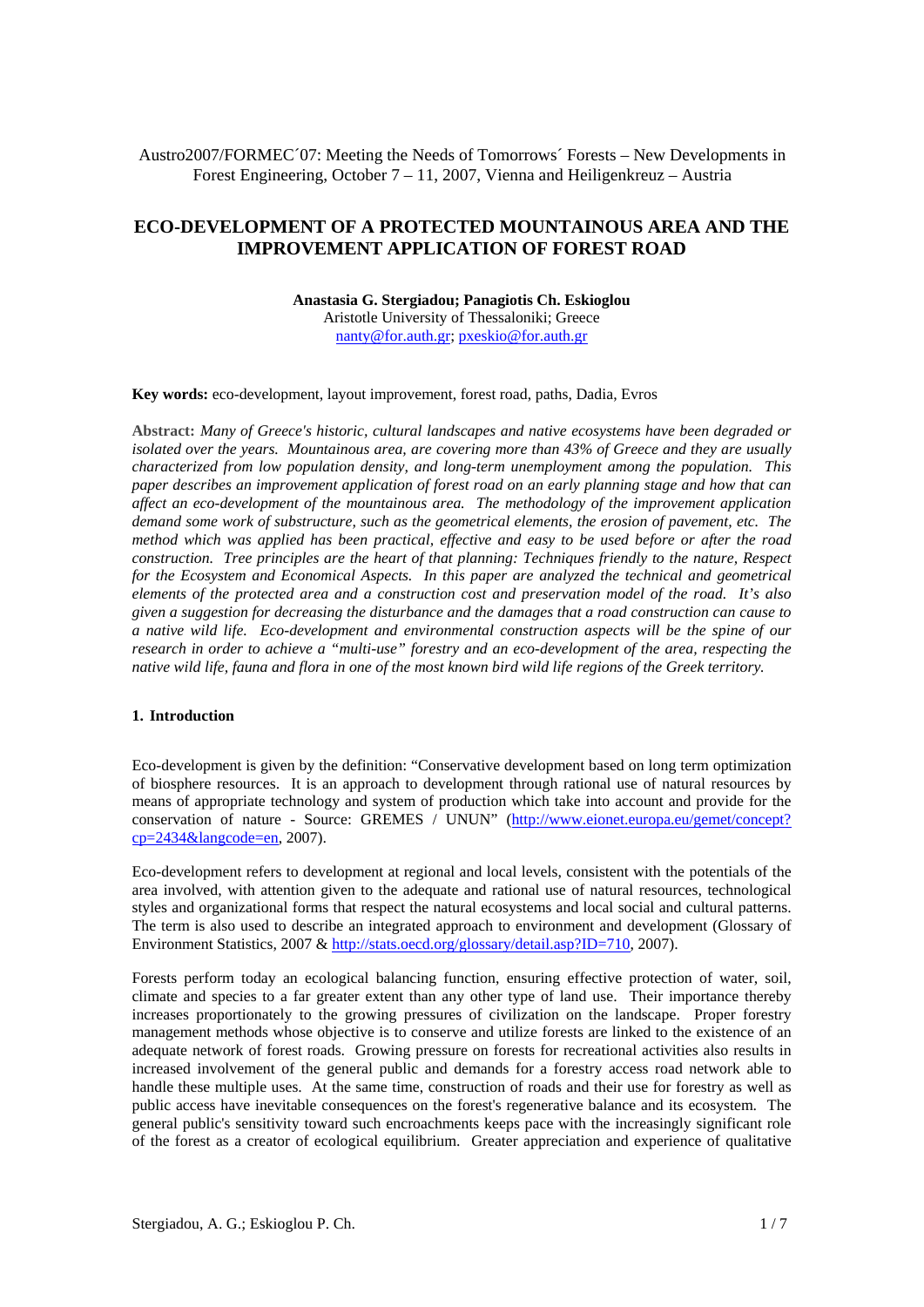## Austro2007/FORMEC´07: Meeting the Needs of Tomorrows´ Forests – New Developments in Forest Engineering, October 7 – 11, 2007, Vienna and Heiligenkreuz – Austria

# **ECO-DEVELOPMENT OF A PROTECTED MOUNTAINOUS AREA AND THE IMPROVEMENT APPLICATION OF FOREST ROAD**

**Anastasia G. Stergiadou; Panagiotis Ch. Eskioglou**  Aristotle University of Thessaloniki; Greece nanty@for.auth.gr; pxeskio@for.auth.gr

**Key words:** eco-development, layout improvement, forest road, paths, Dadia, Evros

**Abstract:** *Many of Greece's historic, cultural landscapes and native ecosystems have been degraded or isolated over the years. Mountainous area, are covering more than 43% of Greece and they are usually characterized from low population density, and long-term unemployment among the population. This paper describes an improvement application of forest road on an early planning stage and how that can affect an eco-development of the mountainous area. The methodology of the improvement application demand some work of substructure, such as the geometrical elements, the erosion of pavement, etc. The method which was applied has been practical, effective and easy to be used before or after the road construction. Tree principles are the heart of that planning: Techniques friendly to the nature, Respect for the Ecosystem and Economical Aspects. In this paper are analyzed the technical and geometrical elements of the protected area and a construction cost and preservation model of the road. It's also given a suggestion for decreasing the disturbance and the damages that a road construction can cause to a native wild life. Eco-development and environmental construction aspects will be the spine of our research in order to achieve a "multi-use" forestry and an eco-development of the area, respecting the native wild life, fauna and flora in one of the most known bird wild life regions of the Greek territory.* 

#### **1. Introduction**

Eco-development is given by the definition: "Conservative development based on long term optimization of biosphere resources. It is an approach to development through rational use of natural resources by means of appropriate technology and system of production which take into account and provide for the conservation of nature - Source: GREMES / UNUN" (http://www.eionet.europa.eu/gemet/concept?  $cp=2434&$ langcode=en, 2007).

Eco-development refers to development at regional and local levels, consistent with the potentials of the area involved, with attention given to the adequate and rational use of natural resources, technological styles and organizational forms that respect the natural ecosystems and local social and cultural patterns. The term is also used to describe an integrated approach to environment and development (Glossary of Environment Statistics, 2007 & http://stats.oecd.org/glossary/detail.asp?ID=710, 2007).

Forests perform today an ecological balancing function, ensuring effective protection of water, soil, climate and species to a far greater extent than any other type of land use. Their importance thereby increases proportionately to the growing pressures of civilization on the landscape. Proper forestry management methods whose objective is to conserve and utilize forests are linked to the existence of an adequate network of forest roads. Growing pressure on forests for recreational activities also results in increased involvement of the general public and demands for a forestry access road network able to handle these multiple uses. At the same time, construction of roads and their use for forestry as well as public access have inevitable consequences on the forest's regenerative balance and its ecosystem. The general public's sensitivity toward such encroachments keeps pace with the increasingly significant role of the forest as a creator of ecological equilibrium. Greater appreciation and experience of qualitative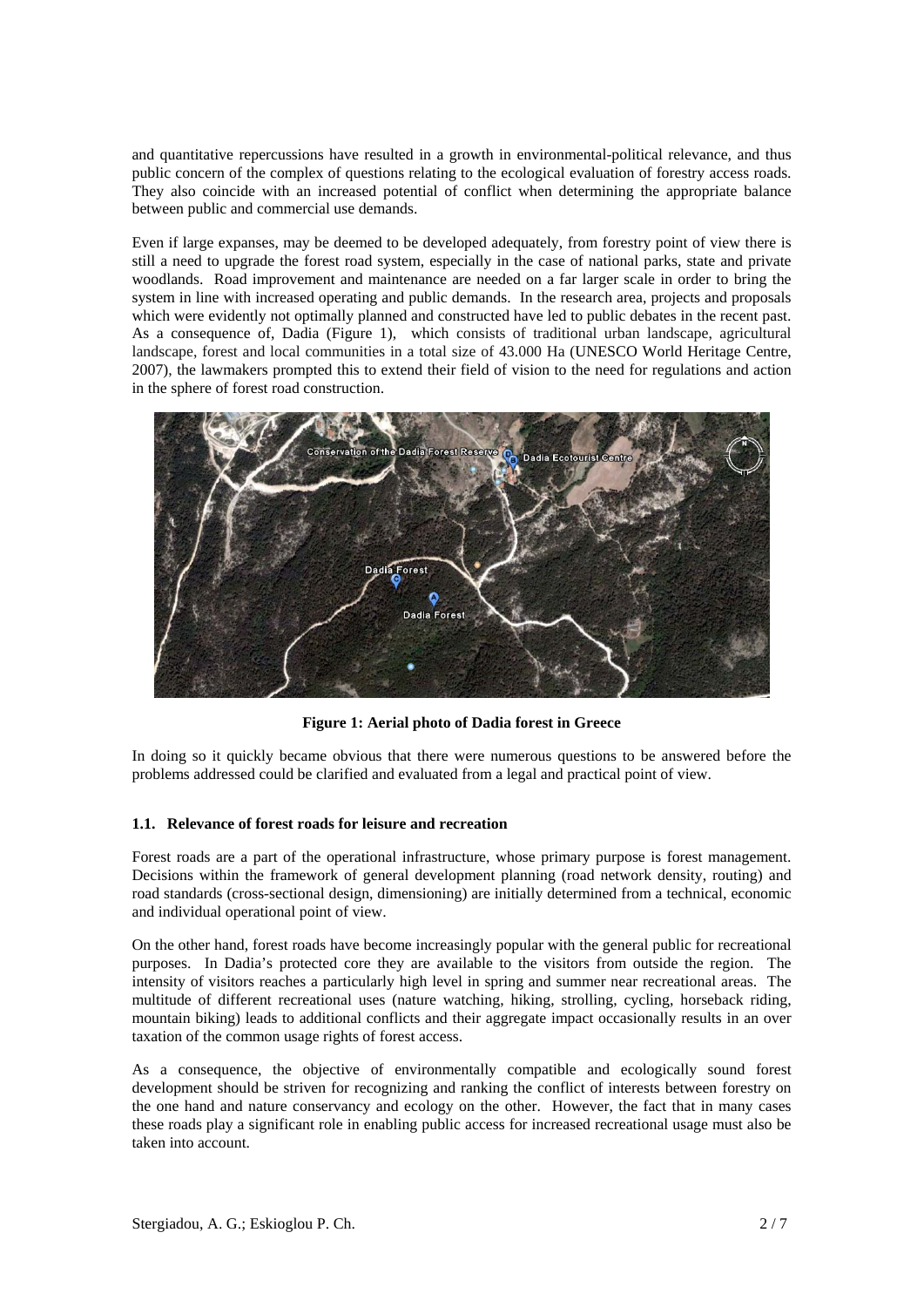and quantitative repercussions have resulted in a growth in environmental-political relevance, and thus public concern of the complex of questions relating to the ecological evaluation of forestry access roads. They also coincide with an increased potential of conflict when determining the appropriate balance between public and commercial use demands.

Even if large expanses, may be deemed to be developed adequately, from forestry point of view there is still a need to upgrade the forest road system, especially in the case of national parks, state and private woodlands. Road improvement and maintenance are needed on a far larger scale in order to bring the system in line with increased operating and public demands. In the research area, projects and proposals which were evidently not optimally planned and constructed have led to public debates in the recent past. As a consequence of, Dadia (Figure 1), which consists of traditional urban landscape, agricultural landscape, forest and local communities in a total size of 43.000 Ha (UNESCO World Heritage Centre, 2007), the lawmakers prompted this to extend their field of vision to the need for regulations and action in the sphere of forest road construction.



**Figure 1: Aerial photo of Dadia forest in Greece** 

In doing so it quickly became obvious that there were numerous questions to be answered before the problems addressed could be clarified and evaluated from a legal and practical point of view.

## **1.1. Relevance of forest roads for leisure and recreation**

Forest roads are a part of the operational infrastructure, whose primary purpose is forest management. Decisions within the framework of general development planning (road network density, routing) and road standards (cross-sectional design, dimensioning) are initially determined from a technical, economic and individual operational point of view.

On the other hand, forest roads have become increasingly popular with the general public for recreational purposes. In Dadia's protected core they are available to the visitors from outside the region. The intensity of visitors reaches a particularly high level in spring and summer near recreational areas. The multitude of different recreational uses (nature watching, hiking, strolling, cycling, horseback riding, mountain biking) leads to additional conflicts and their aggregate impact occasionally results in an over taxation of the common usage rights of forest access.

As a consequence, the objective of environmentally compatible and ecologically sound forest development should be striven for recognizing and ranking the conflict of interests between forestry on the one hand and nature conservancy and ecology on the other. However, the fact that in many cases these roads play a significant role in enabling public access for increased recreational usage must also be taken into account.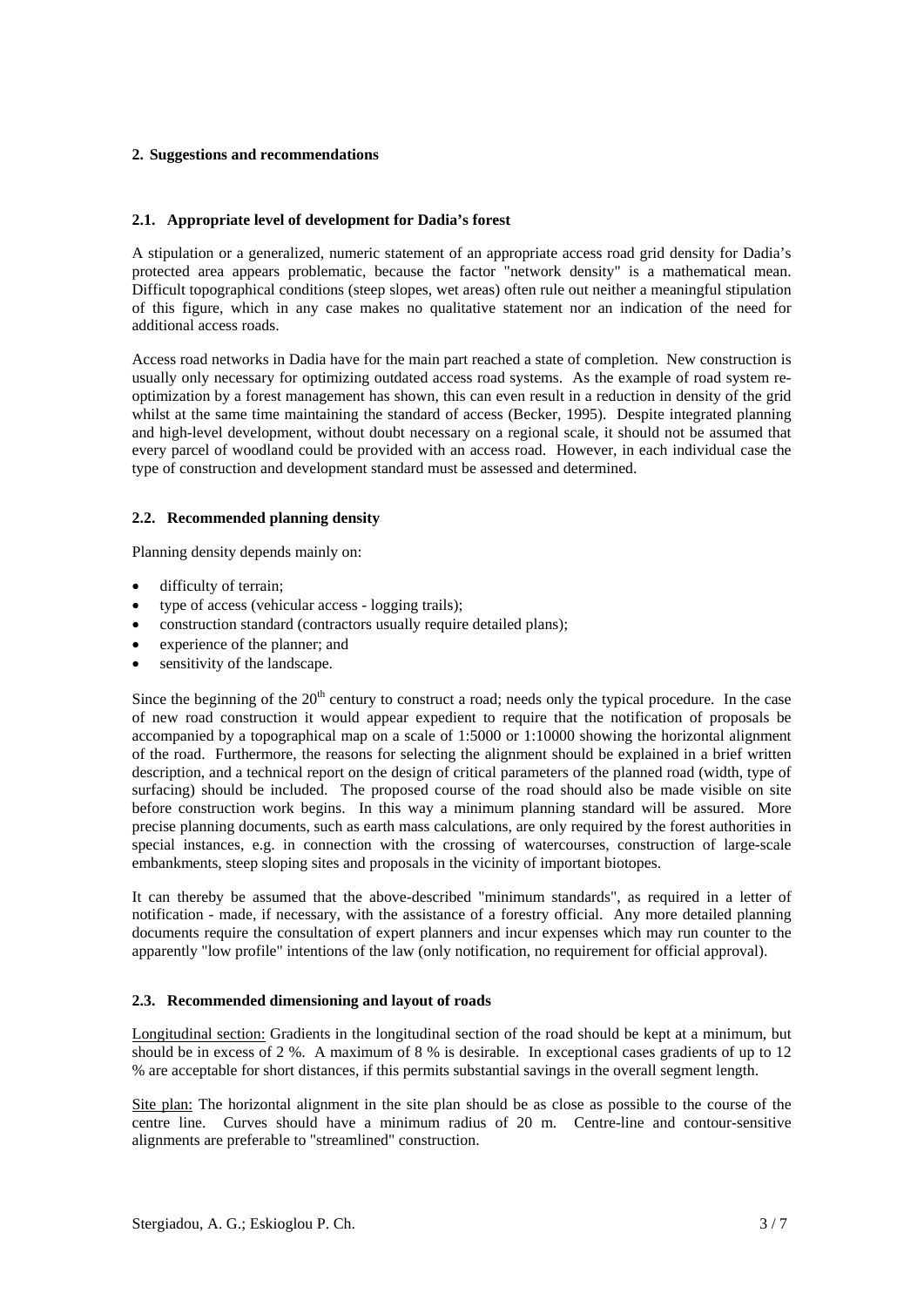## **2. Suggestions and recommendations**

## **2.1. Appropriate level of development for Dadia's forest**

A stipulation or a generalized, numeric statement of an appropriate access road grid density for Dadia's protected area appears problematic, because the factor "network density" is a mathematical mean. Difficult topographical conditions (steep slopes, wet areas) often rule out neither a meaningful stipulation of this figure, which in any case makes no qualitative statement nor an indication of the need for additional access roads.

Access road networks in Dadia have for the main part reached a state of completion. New construction is usually only necessary for optimizing outdated access road systems. As the example of road system reoptimization by a forest management has shown, this can even result in a reduction in density of the grid whilst at the same time maintaining the standard of access (Becker, 1995). Despite integrated planning and high-level development, without doubt necessary on a regional scale, it should not be assumed that every parcel of woodland could be provided with an access road. However, in each individual case the type of construction and development standard must be assessed and determined.

## **2.2. Recommended planning density**

Planning density depends mainly on:

- difficulty of terrain;
- type of access (vehicular access logging trails);
- construction standard (contractors usually require detailed plans);
- experience of the planner; and
- sensitivity of the landscape.

Since the beginning of the  $20<sup>th</sup>$  century to construct a road; needs only the typical procedure. In the case of new road construction it would appear expedient to require that the notification of proposals be accompanied by a topographical map on a scale of 1:5000 or 1:10000 showing the horizontal alignment of the road. Furthermore, the reasons for selecting the alignment should be explained in a brief written description, and a technical report on the design of critical parameters of the planned road (width, type of surfacing) should be included. The proposed course of the road should also be made visible on site before construction work begins. In this way a minimum planning standard will be assured. More precise planning documents, such as earth mass calculations, are only required by the forest authorities in special instances, e.g. in connection with the crossing of watercourses, construction of large-scale embankments, steep sloping sites and proposals in the vicinity of important biotopes.

It can thereby be assumed that the above-described "minimum standards", as required in a letter of notification - made, if necessary, with the assistance of a forestry official. Any more detailed planning documents require the consultation of expert planners and incur expenses which may run counter to the apparently "low profile" intentions of the law (only notification, no requirement for official approval).

## **2.3. Recommended dimensioning and layout of roads**

Longitudinal section: Gradients in the longitudinal section of the road should be kept at a minimum, but should be in excess of 2 %. A maximum of 8 % is desirable. In exceptional cases gradients of up to 12 % are acceptable for short distances, if this permits substantial savings in the overall segment length.

Site plan: The horizontal alignment in the site plan should be as close as possible to the course of the centre line. Curves should have a minimum radius of 20 m. Centre-line and contour-sensitive alignments are preferable to "streamlined" construction.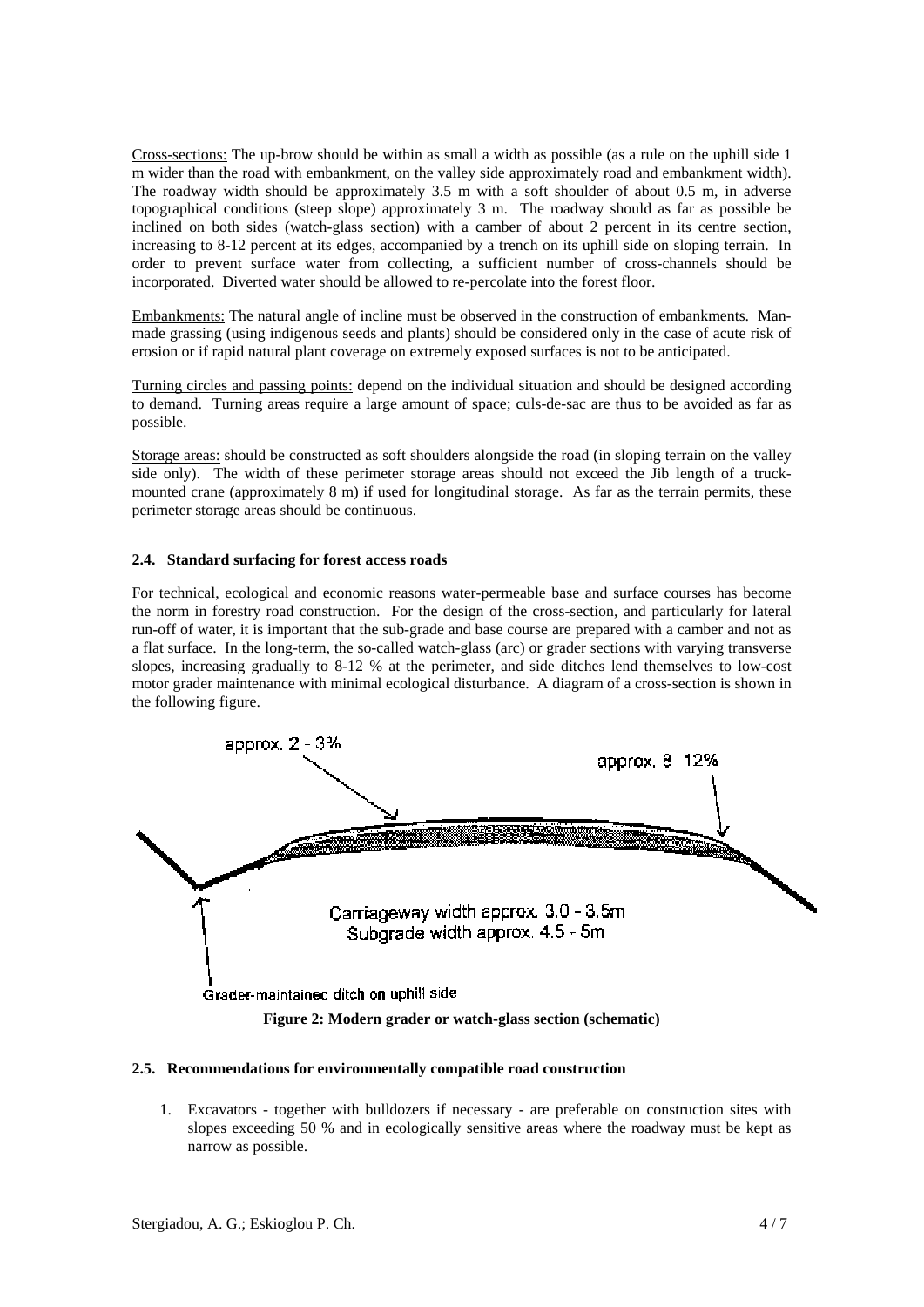Cross-sections: The up-brow should be within as small a width as possible (as a rule on the uphill side 1 m wider than the road with embankment, on the valley side approximately road and embankment width). The roadway width should be approximately 3.5 m with a soft shoulder of about 0.5 m, in adverse topographical conditions (steep slope) approximately 3 m. The roadway should as far as possible be inclined on both sides (watch-glass section) with a camber of about 2 percent in its centre section, increasing to 8-12 percent at its edges, accompanied by a trench on its uphill side on sloping terrain. In order to prevent surface water from collecting, a sufficient number of cross-channels should be incorporated. Diverted water should be allowed to re-percolate into the forest floor.

Embankments: The natural angle of incline must be observed in the construction of embankments. Manmade grassing (using indigenous seeds and plants) should be considered only in the case of acute risk of erosion or if rapid natural plant coverage on extremely exposed surfaces is not to be anticipated.

Turning circles and passing points: depend on the individual situation and should be designed according to demand. Turning areas require a large amount of space; culs-de-sac are thus to be avoided as far as possible.

Storage areas: should be constructed as soft shoulders alongside the road (in sloping terrain on the valley side only). The width of these perimeter storage areas should not exceed the Jib length of a truckmounted crane (approximately 8 m) if used for longitudinal storage. As far as the terrain permits, these perimeter storage areas should be continuous.

#### **2.4. Standard surfacing for forest access roads**

For technical, ecological and economic reasons water-permeable base and surface courses has become the norm in forestry road construction. For the design of the cross-section, and particularly for lateral run-off of water, it is important that the sub-grade and base course are prepared with a camber and not as a flat surface. In the long-term, the so-called watch-glass (arc) or grader sections with varying transverse slopes, increasing gradually to 8-12 % at the perimeter, and side ditches lend themselves to low-cost motor grader maintenance with minimal ecological disturbance. A diagram of a cross-section is shown in the following figure.



#### **2.5. Recommendations for environmentally compatible road construction**

1. Excavators - together with bulldozers if necessary - are preferable on construction sites with slopes exceeding 50 % and in ecologically sensitive areas where the roadway must be kept as narrow as possible.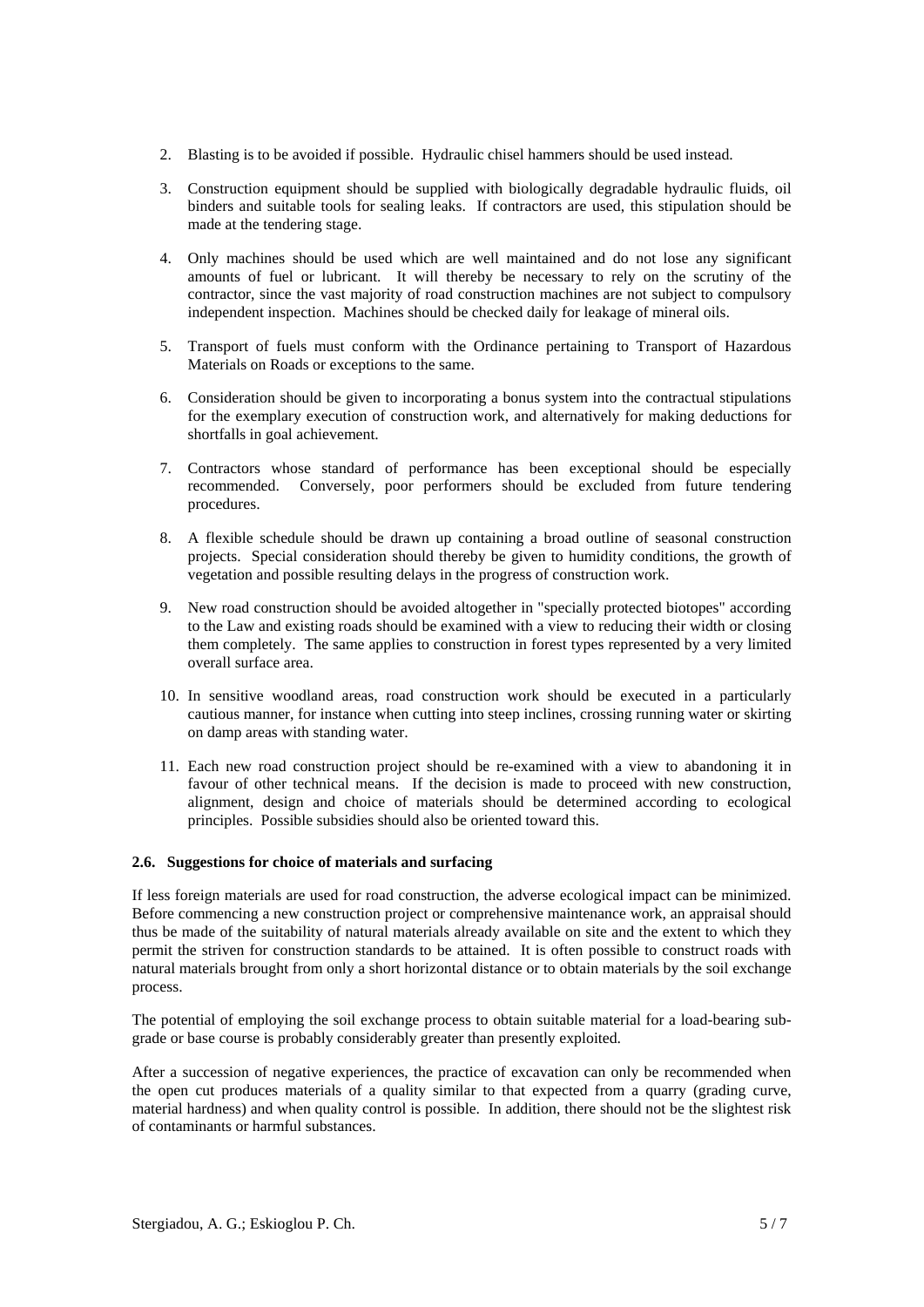- 2. Blasting is to be avoided if possible. Hydraulic chisel hammers should be used instead.
- 3. Construction equipment should be supplied with biologically degradable hydraulic fluids, oil binders and suitable tools for sealing leaks. If contractors are used, this stipulation should be made at the tendering stage.
- 4. Only machines should be used which are well maintained and do not lose any significant amounts of fuel or lubricant. It will thereby be necessary to rely on the scrutiny of the contractor, since the vast majority of road construction machines are not subject to compulsory independent inspection. Machines should be checked daily for leakage of mineral oils.
- 5. Transport of fuels must conform with the Ordinance pertaining to Transport of Hazardous Materials on Roads or exceptions to the same.
- 6. Consideration should be given to incorporating a bonus system into the contractual stipulations for the exemplary execution of construction work, and alternatively for making deductions for shortfalls in goal achievement.
- 7. Contractors whose standard of performance has been exceptional should be especially recommended. Conversely, poor performers should be excluded from future tendering procedures.
- 8. A flexible schedule should be drawn up containing a broad outline of seasonal construction projects. Special consideration should thereby be given to humidity conditions, the growth of vegetation and possible resulting delays in the progress of construction work.
- 9. New road construction should be avoided altogether in "specially protected biotopes" according to the Law and existing roads should be examined with a view to reducing their width or closing them completely. The same applies to construction in forest types represented by a very limited overall surface area.
- 10. In sensitive woodland areas, road construction work should be executed in a particularly cautious manner, for instance when cutting into steep inclines, crossing running water or skirting on damp areas with standing water.
- 11. Each new road construction project should be re-examined with a view to abandoning it in favour of other technical means. If the decision is made to proceed with new construction, alignment, design and choice of materials should be determined according to ecological principles. Possible subsidies should also be oriented toward this.

## **2.6. Suggestions for choice of materials and surfacing**

If less foreign materials are used for road construction, the adverse ecological impact can be minimized. Before commencing a new construction project or comprehensive maintenance work, an appraisal should thus be made of the suitability of natural materials already available on site and the extent to which they permit the striven for construction standards to be attained. It is often possible to construct roads with natural materials brought from only a short horizontal distance or to obtain materials by the soil exchange process.

The potential of employing the soil exchange process to obtain suitable material for a load-bearing subgrade or base course is probably considerably greater than presently exploited.

After a succession of negative experiences, the practice of excavation can only be recommended when the open cut produces materials of a quality similar to that expected from a quarry (grading curve, material hardness) and when quality control is possible. In addition, there should not be the slightest risk of contaminants or harmful substances.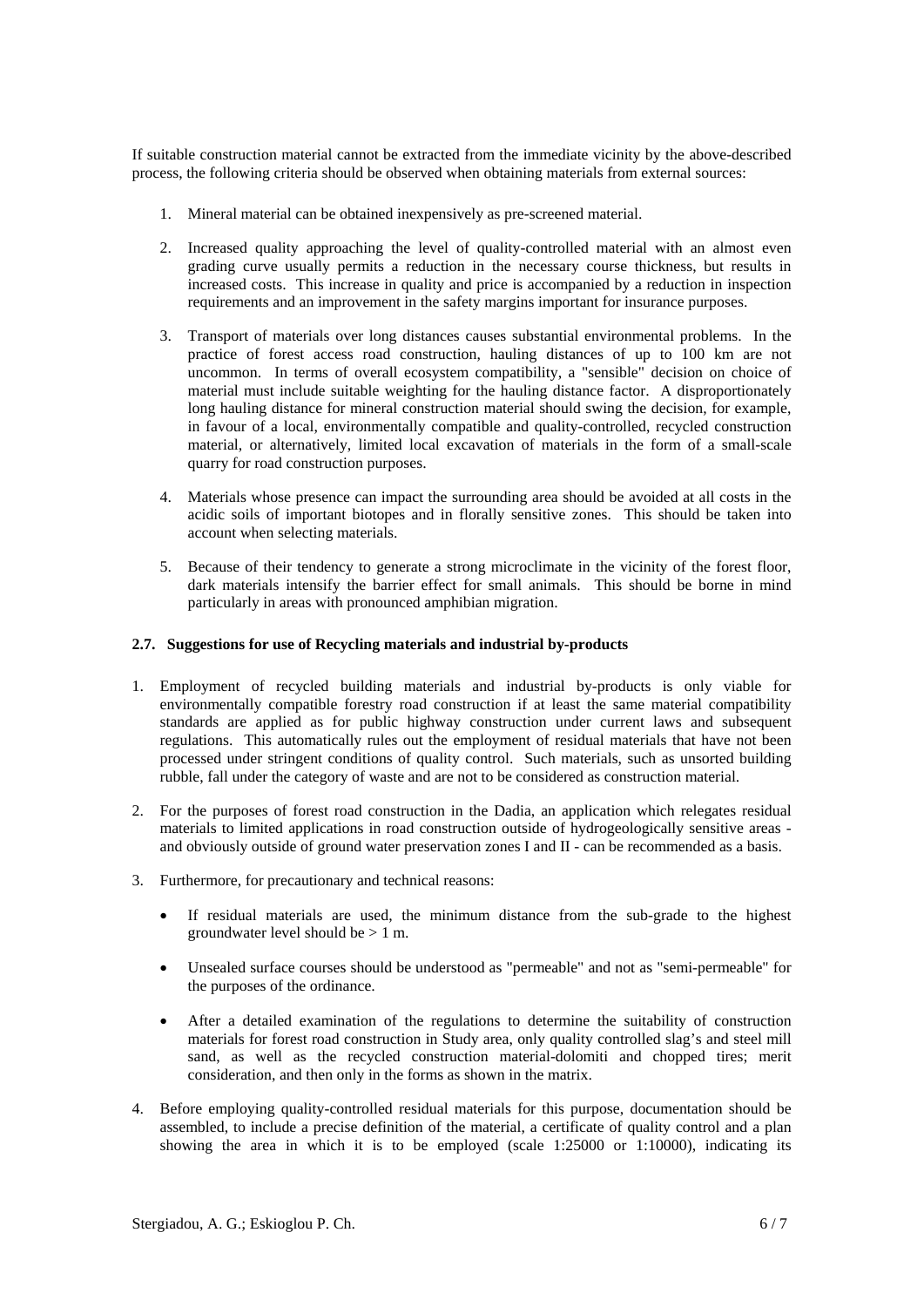If suitable construction material cannot be extracted from the immediate vicinity by the above-described process, the following criteria should be observed when obtaining materials from external sources:

- 1. Mineral material can be obtained inexpensively as pre-screened material.
- 2. Increased quality approaching the level of quality-controlled material with an almost even grading curve usually permits a reduction in the necessary course thickness, but results in increased costs. This increase in quality and price is accompanied by a reduction in inspection requirements and an improvement in the safety margins important for insurance purposes.
- 3. Transport of materials over long distances causes substantial environmental problems. In the practice of forest access road construction, hauling distances of up to 100 km are not uncommon. In terms of overall ecosystem compatibility, a "sensible" decision on choice of material must include suitable weighting for the hauling distance factor. A disproportionately long hauling distance for mineral construction material should swing the decision, for example, in favour of a local, environmentally compatible and quality-controlled, recycled construction material, or alternatively, limited local excavation of materials in the form of a small-scale quarry for road construction purposes.
- 4. Materials whose presence can impact the surrounding area should be avoided at all costs in the acidic soils of important biotopes and in florally sensitive zones. This should be taken into account when selecting materials.
- 5. Because of their tendency to generate a strong microclimate in the vicinity of the forest floor, dark materials intensify the barrier effect for small animals. This should be borne in mind particularly in areas with pronounced amphibian migration.

#### **2.7. Suggestions for use of Recycling materials and industrial by-products**

- 1. Employment of recycled building materials and industrial by-products is only viable for environmentally compatible forestry road construction if at least the same material compatibility standards are applied as for public highway construction under current laws and subsequent regulations. This automatically rules out the employment of residual materials that have not been processed under stringent conditions of quality control. Such materials, such as unsorted building rubble, fall under the category of waste and are not to be considered as construction material.
- 2. For the purposes of forest road construction in the Dadia, an application which relegates residual materials to limited applications in road construction outside of hydrogeologically sensitive areas and obviously outside of ground water preservation zones I and II - can be recommended as a basis.
- 3. Furthermore, for precautionary and technical reasons:
	- If residual materials are used, the minimum distance from the sub-grade to the highest groundwater level should be > 1 m.
	- Unsealed surface courses should be understood as "permeable" and not as "semi-permeable" for the purposes of the ordinance.
	- After a detailed examination of the regulations to determine the suitability of construction materials for forest road construction in Study area, only quality controlled slag's and steel mill sand, as well as the recycled construction material-dolomiti and chopped tires; merit consideration, and then only in the forms as shown in the matrix.
- 4. Before employing quality-controlled residual materials for this purpose, documentation should be assembled, to include a precise definition of the material, a certificate of quality control and a plan showing the area in which it is to be employed (scale 1:25000 or 1:10000), indicating its